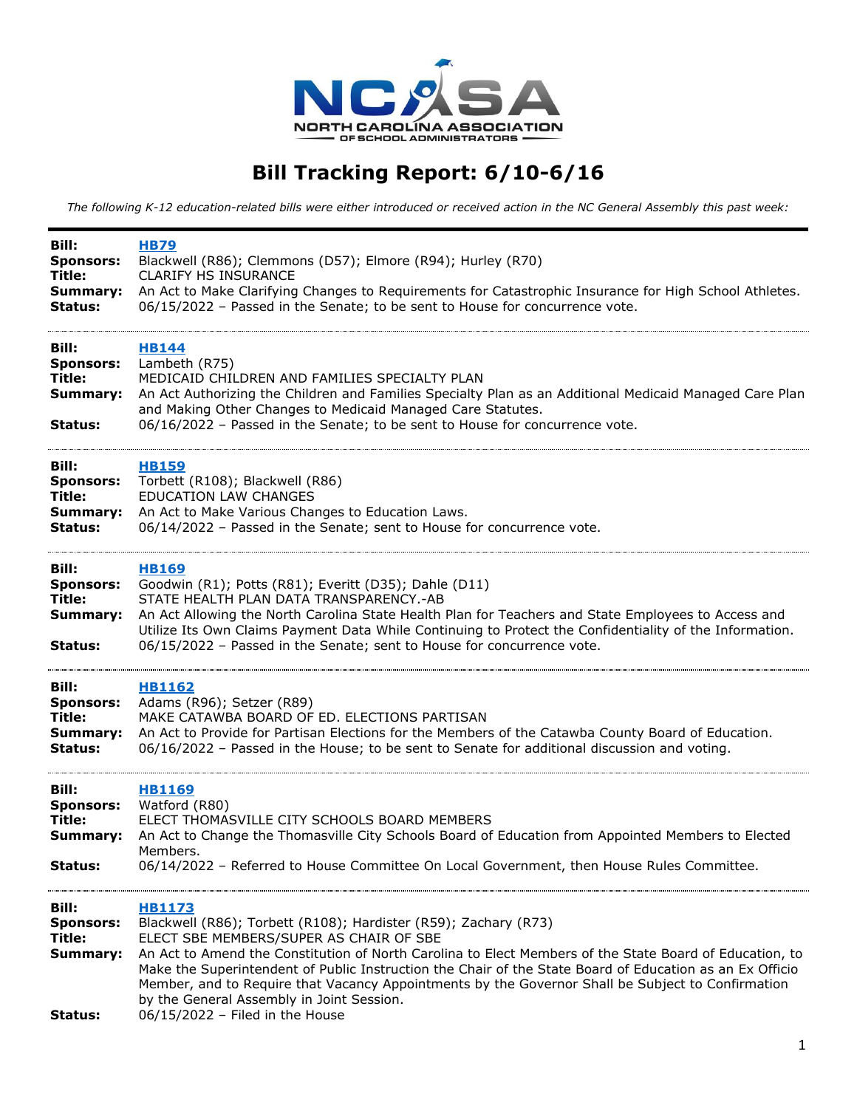

## **Bill Tracking Report: 6/10-6/16**

*The following K-12 education-related bills were either introduced or received action in the NC General Assembly this past week:*

| Bill:<br><b>Sponsors:</b><br>Title:<br>Summary:<br>Status:        | <b>HB79</b><br>Blackwell (R86); Clemmons (D57); Elmore (R94); Hurley (R70)<br><b>CLARIFY HS INSURANCE</b><br>An Act to Make Clarifying Changes to Requirements for Catastrophic Insurance for High School Athletes.<br>06/15/2022 - Passed in the Senate; to be sent to House for concurrence vote.                                                                                                                                                                                                                                     |
|-------------------------------------------------------------------|-----------------------------------------------------------------------------------------------------------------------------------------------------------------------------------------------------------------------------------------------------------------------------------------------------------------------------------------------------------------------------------------------------------------------------------------------------------------------------------------------------------------------------------------|
| Bill:<br><b>Sponsors:</b><br>Title:<br><b>Summary:</b><br>Status: | <b>HB144</b><br>Lambeth (R75)<br>MEDICAID CHILDREN AND FAMILIES SPECIALTY PLAN<br>An Act Authorizing the Children and Families Specialty Plan as an Additional Medicaid Managed Care Plan<br>and Making Other Changes to Medicaid Managed Care Statutes.<br>06/16/2022 - Passed in the Senate; to be sent to House for concurrence vote.                                                                                                                                                                                                |
| Bill:<br><b>Sponsors:</b><br>Title:<br><b>Summary:</b><br>Status: | <b>HB159</b><br>Torbett (R108); Blackwell (R86)<br><b>EDUCATION LAW CHANGES</b><br>An Act to Make Various Changes to Education Laws.<br>06/14/2022 - Passed in the Senate; sent to House for concurrence vote.                                                                                                                                                                                                                                                                                                                          |
| Bill:<br><b>Sponsors:</b><br>Title:<br><b>Summary:</b><br>Status: | <b>HB169</b><br>Goodwin (R1); Potts (R81); Everitt (D35); Dahle (D11)<br>STATE HEALTH PLAN DATA TRANSPARENCY.-AB<br>An Act Allowing the North Carolina State Health Plan for Teachers and State Employees to Access and<br>Utilize Its Own Claims Payment Data While Continuing to Protect the Confidentiality of the Information.<br>06/15/2022 - Passed in the Senate; sent to House for concurrence vote.                                                                                                                            |
| Bill:<br><b>Sponsors:</b><br>Title:<br>Summary:<br>Status:        | <b>HB1162</b><br>Adams (R96); Setzer (R89)<br>MAKE CATAWBA BOARD OF ED. ELECTIONS PARTISAN<br>An Act to Provide for Partisan Elections for the Members of the Catawba County Board of Education.<br>06/16/2022 - Passed in the House; to be sent to Senate for additional discussion and voting.                                                                                                                                                                                                                                        |
| Bill:<br><b>Sponsors:</b><br>Title:<br><b>Summary:</b><br>Status: | <b>HB1169</b><br>Watford (R80)<br>ELECT THOMASVILLE CITY SCHOOLS BOARD MEMBERS<br>An Act to Change the Thomasville City Schools Board of Education from Appointed Members to Elected<br>Members.<br>06/14/2022 - Referred to House Committee On Local Government, then House Rules Committee.                                                                                                                                                                                                                                           |
| Bill:<br><b>Sponsors:</b><br>Title:<br><b>Summary:</b><br>Status: | <b>HB1173</b><br>Blackwell (R86); Torbett (R108); Hardister (R59); Zachary (R73)<br>ELECT SBE MEMBERS/SUPER AS CHAIR OF SBE<br>An Act to Amend the Constitution of North Carolina to Elect Members of the State Board of Education, to<br>Make the Superintendent of Public Instruction the Chair of the State Board of Education as an Ex Officio<br>Member, and to Require that Vacancy Appointments by the Governor Shall be Subject to Confirmation<br>by the General Assembly in Joint Session.<br>06/15/2022 - Filed in the House |